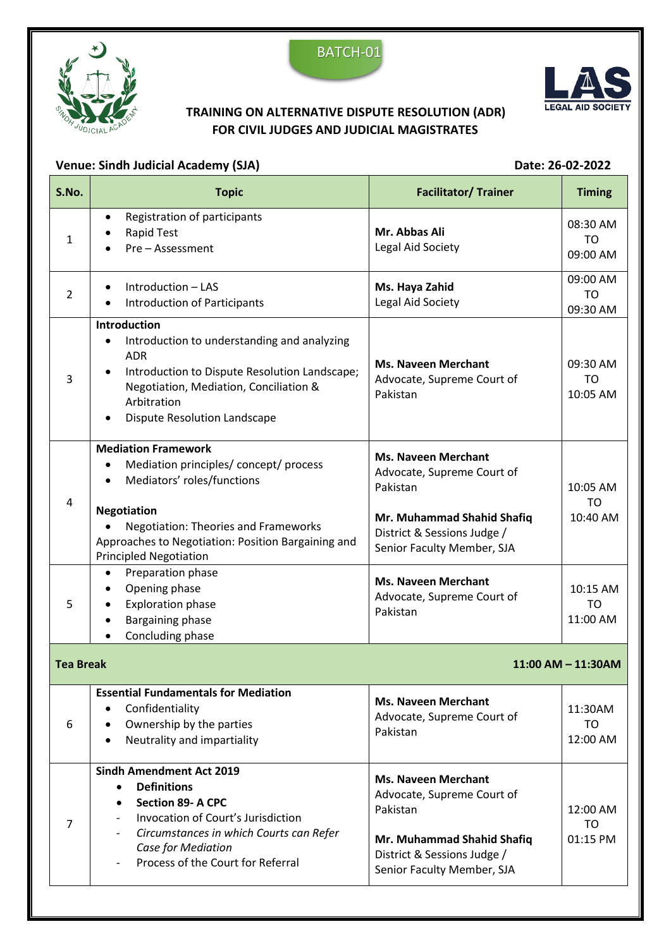





## **TRAINING ON ALTERNATIVE DISPUTE RESOLUTION (ADR) FOR CIVIL JUDGES AND JUDICIAL MAGISTRATES**

## Venue: Sindh Judicial Academy (SJA) **Date: 26-02-2022**

*Case for Mediation*

Process of the Court for Referral

| S.No.                                       | <b>Topic</b>                                                                                                                                                                                                                                                              | <b>Facilitator/ Trainer</b>                                                                                                                                     | <b>Timing</b>                     |  |
|---------------------------------------------|---------------------------------------------------------------------------------------------------------------------------------------------------------------------------------------------------------------------------------------------------------------------------|-----------------------------------------------------------------------------------------------------------------------------------------------------------------|-----------------------------------|--|
| 1                                           | Registration of participants<br>$\bullet$<br><b>Rapid Test</b><br>Pre - Assessment                                                                                                                                                                                        | Mr. Abbas Ali<br>Legal Aid Society                                                                                                                              | 08:30 AM<br>TO<br>09:00 AM        |  |
| $\overline{2}$                              | Introduction - LAS<br>$\bullet$<br>Introduction of Participants                                                                                                                                                                                                           | Ms. Haya Zahid<br>Legal Aid Society                                                                                                                             | 09:00 AM<br>TO<br>09:30 AM        |  |
| 3                                           | <b>Introduction</b><br>Introduction to understanding and analyzing<br><b>ADR</b><br>Introduction to Dispute Resolution Landscape;<br>٠<br>Negotiation, Mediation, Conciliation &<br>Arbitration<br><b>Dispute Resolution Landscape</b>                                    | <b>Ms. Naveen Merchant</b><br>Advocate, Supreme Court of<br>Pakistan                                                                                            | 09:30 AM<br>TO<br>10:05 AM        |  |
| 4                                           | <b>Mediation Framework</b><br>Mediation principles/concept/process<br>Mediators' roles/functions<br>$\bullet$<br><b>Negotiation</b><br><b>Negotiation: Theories and Frameworks</b><br>Approaches to Negotiation: Position Bargaining and<br><b>Principled Negotiation</b> | <b>Ms. Naveen Merchant</b><br>Advocate, Supreme Court of<br>Pakistan<br>Mr. Muhammad Shahid Shafiq<br>District & Sessions Judge /<br>Senior Faculty Member, SJA | 10:05 AM<br><b>TO</b><br>10:40 AM |  |
| 5                                           | Preparation phase<br>Opening phase<br><b>Exploration phase</b><br>Bargaining phase<br>Concluding phase                                                                                                                                                                    | <b>Ms. Naveen Merchant</b><br>Advocate, Supreme Court of<br>Pakistan                                                                                            | 10:15 AM<br>TO<br>11:00 AM        |  |
| <b>Tea Break</b><br>$11:00$ AM $- 11:30$ AM |                                                                                                                                                                                                                                                                           |                                                                                                                                                                 |                                   |  |
| 6                                           | <b>Essential Fundamentals for Mediation</b><br>Confidentiality<br>Ownership by the parties<br>Neutrality and impartiality<br>$\bullet$                                                                                                                                    | <b>Ms. Naveen Merchant</b><br>Advocate, Supreme Court of<br>Pakistan                                                                                            | 11:30AM<br><b>TO</b><br>12:00 AM  |  |
| 7                                           | <b>Sindh Amendment Act 2019</b><br><b>Definitions</b><br>$\bullet$<br><b>Section 89- A CPC</b><br>$\bullet$<br>Invocation of Court's Jurisdiction<br>$\overline{\phantom{a}}$<br>Circumstances in which Courts can Refer                                                  | <b>Ms. Naveen Merchant</b><br>Advocate, Supreme Court of<br>Pakistan<br>Mr. Muhammad Shahid Shafiq                                                              | 12:00 AM<br><b>TO</b><br>01:15 PM |  |

District & Sessions Judge / Senior Faculty Member, SJA